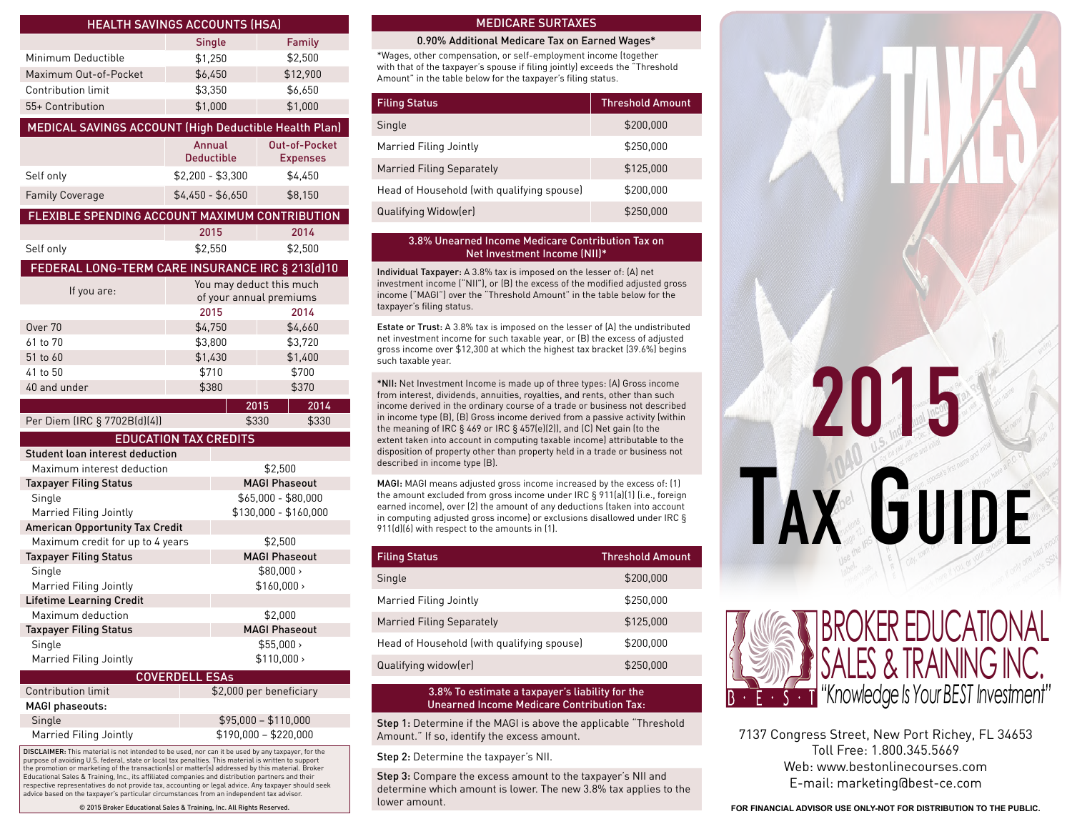|                                                       | <b>HEALTH SAVINGS ACCOUNTS (HSA)</b> |                                         |
|-------------------------------------------------------|--------------------------------------|-----------------------------------------|
|                                                       | <b>Single</b>                        | Family                                  |
| Minimum Deductible                                    | \$1,250                              | \$2,500                                 |
| Maximum Out-of-Pocket                                 | \$6,450                              | \$12,900                                |
| Contribution limit                                    | \$3,350                              | \$6,650                                 |
| 55+ Contribution                                      | \$1,000                              | \$1,000                                 |
| MEDICAL SAVINGS ACCOUNT (High Deductible Health Plan) |                                      |                                         |
|                                                       |                                      |                                         |
|                                                       | Annual<br><b>Deductible</b>          | <b>Out-of-Pocket</b><br><b>Expenses</b> |
| Self only                                             | $$2,200 - $3,300$                    | \$4,450                                 |
| <b>Family Coverage</b>                                | $$4,450 - $6,650$                    | \$8,150                                 |
| FLEXIBLE SPENDING ACCOUNT MAXIMUM CONTRIBUTION        |                                      |                                         |
|                                                       | 2015                                 | 2014                                    |
| Self only                                             | \$2,550                              | \$2,500                                 |
| FEDERAL LONG-TERM CARE INSURANCE IRC § 213(d)10       |                                      |                                         |
| If you are:                                           |                                      | You may deduct this much                |
|                                                       |                                      | of your annual premiums                 |
|                                                       | 2015                                 | 2014                                    |
| Over 70                                               | \$4.750                              | \$4,660                                 |
| 61 to 70                                              | \$3,800                              | \$3,720                                 |
| 51 to 60                                              | \$1,430                              | \$1,400                                 |
| 41 to 50                                              |                                      | \$700                                   |
|                                                       | \$710                                |                                         |
| 40 and under                                          | \$380                                | \$370                                   |
|                                                       |                                      | 2015<br>2014                            |
| Per Diem (IRC § 7702B(d)(4))                          |                                      | \$330<br>\$330                          |
|                                                       | <b>EDUCATION TAX CREDITS</b>         |                                         |
| Student loan interest deduction                       |                                      |                                         |
| Maximum interest deduction                            |                                      | \$2,500                                 |
| <b>Taxpayer Filing Status</b>                         |                                      | <b>MAGI Phaseout</b>                    |
| Single                                                |                                      | \$65,000 - \$80,000                     |
| Married Filing Jointly                                |                                      | \$130,000 - \$160,000                   |
| American Opportunity Tax Credit                       |                                      |                                         |
| Maximum credit for up to 4 years                      |                                      | \$2,500                                 |
| <b>Taxpayer Filing Status</b>                         |                                      | <b>MAGI Phaseout</b>                    |
| Single                                                |                                      | \$80,000                                |
| Married Filing Jointly                                |                                      | \$160,000                               |
| <b>Lifetime Learning Credit</b>                       |                                      |                                         |
| Maximum deduction                                     |                                      | \$2,000                                 |
| <b>Taxpayer Filing Status</b>                         |                                      | <b>MAGI Phaseout</b>                    |
| Single                                                |                                      | $$55.000 \rightarrow$                   |
| Married Filing Jointly                                |                                      | $$110.000 \rightarrow$                  |
| Contribution limit                                    | <b>COVERDELL ESAs</b>                |                                         |
| <b>MAGI phaseouts:</b>                                |                                      | \$2,000 per beneficiary                 |

DISCLAIMER: This material is not intended to be used, nor can it be used by any taxpayer, for the purpose of avoiding U.S. federal, state or local tax penalties. This material is written to support the promotion or marketing of the transaction(s) or matter(s) addressed by this material. Broker Educational Sales & Training, Inc., its affiliated companies and distribution partners and their respective representatives do not provide tax, accounting or legal advice. Any taxpayer should seek advice based on the taxpayer's particular circumstances from an independent tax advisor. Married Filing Jointly \$190,000 – \$220,000

## MEDICARE SURTAXES

## 0.90% Additional Medicare Tax on Earned Wages\*

\*Wages, other compensation, or self-employment income (together with that of the taxpayer's spouse if filing jointly) exceeds the "Threshold Amount" in the table below for the taxpayer's filing status.

| <b>Filing Status</b>                       | <b>Threshold Amount</b> |
|--------------------------------------------|-------------------------|
| Single                                     | \$200,000               |
| Married Filing Jointly                     | \$250,000               |
| Married Filing Separately                  | \$125,000               |
| Head of Household (with qualifying spouse) | \$200,000               |
| Qualifying Widow(er)                       | \$250,000               |

## 3.8% Unearned Income Medicare Contribution Tax on Net Investment Income (NII)\*

Individual Taxpayer: A 3.8% tax is imposed on the lesser of: (A) net investment income ("NII"), or (B) the excess of the modified adjusted gross income ("MAGI") over the "Threshold Amount" in the table below for the taxpayer's filing status.

Estate or Trust: A 3.8% tax is imposed on the lesser of (A) the undistributed net investment income for such taxable year, or (B) the excess of adjusted gross income over \$12,300 at which the highest tax bracket (39.6%) begins such taxable year.

\*NII: Net Investment Income is made up of three types: (A) Gross income from interest, dividends, annuities, royalties, and rents, other than such income derived in the ordinary course of a trade or business not described in income type (B), (B) Gross income derived from a passive activity (within the meaning of IRC § 469 or IRC § 457(e)(2)), and (C) Net gain (to the extent taken into account in computing taxable income) attributable to the disposition of property other than property held in a trade or business not described in income type (B).

MAGI: MAGI means adjusted gross income increased by the excess of: (1) the amount excluded from gross income under IRC § 911(a)(1) (i.e., foreign earned income), over (2) the amount of any deductions (taken into account in computing adjusted gross income) or exclusions disallowed under IRC § 911(d)(6) with respect to the amounts in (1).

| <b>Filing Status</b>                       | <b>Threshold Amount</b> |
|--------------------------------------------|-------------------------|
| Single                                     | \$200,000               |
| Married Filing Jointly                     | \$250,000               |
| Married Filing Separately                  | \$125,000               |
| Head of Household (with qualifying spouse) | \$200,000               |
| Qualifying widow(er)                       | \$250,000               |

## 3.8% To estimate a taxpayer's liability for the Unearned Income Medicare Contribution Tax:

Step 1: Determine if the MAGI is above the applicable "Threshold Amount." If so, identify the excess amount.

Step 2: Determine the taxpayer's NII.

Step 3: Compare the excess amount to the taxpayer's NII and determine which amount is lower. The new 3.8% tax applies to the lower amount.





7137 Congress Street, New Port Richey, FL 34653 Toll Free: 1.800.345.5669 Web: www.bestonlinecourses.com E-mail: marketing@best-ce.com

© 2015 Broker Educational Sales & Training, Inc. All Rights Reserved. **FOR FINANCIAL ADVISOR USE ONLY-NOT FOR DISTRIBUTION TO THE PUBLIC.**